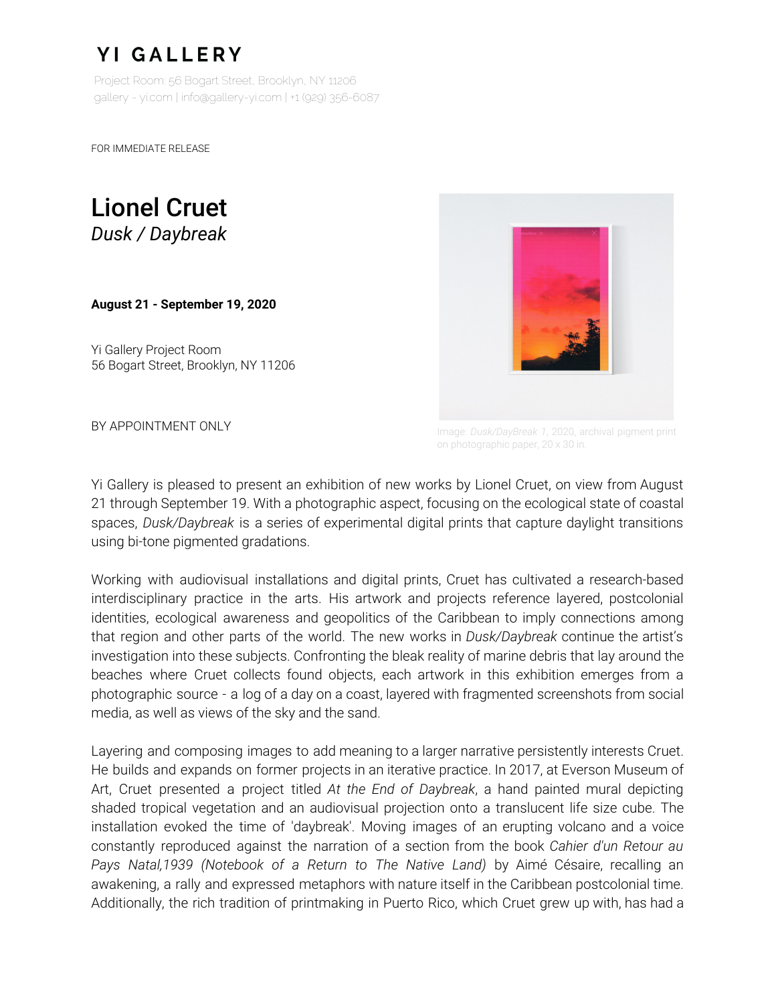## **YI GALLERY**

Project Room: 56 Bogart Street, Brooklyn, NY 11206 gallery - yi.com | info@gallery-yi.com | +1 (929) 356-6087

FOR IMMEDIATE RELEASE

Lionel Cruet *Dusk / Daybreak*

**August 21 - September 19, 2020**

Yi Gallery Project Room 56 Bogart Street, Brooklyn, NY 11206



**BY APPOINTMENT ONLY Image:** *Dusk/DayBreak 1, 2020, archival pigment print* on photographic paper, 20 x 30 in.

Yi Gallery is pleased to present an exhibition of new works by Lionel Cruet, on view from August 21 through September 19. With a photographic aspect, focusing on the ecological state of coastal spaces, *Dusk/Daybreak* is a series of experimental digital prints that capture daylight transitions using bi-tone pigmented gradations.

Working with audiovisual installations and digital prints, Cruet has cultivated a research-based interdisciplinary practice in the arts. His artwork and projects reference layered, postcolonial identities, ecological awareness and geopolitics of the Caribbean to imply connections among that region and other parts of the world. The new works in *Dusk/Daybreak* continue the artist's investigation into these subjects. Confronting the bleak reality of marine debris that lay around the beaches where Cruet collects found objects, each artwork in this exhibition emerges from a photographic source - a log of a day on a coast, layered with fragmented screenshots from social media, as well as views of the sky and the sand.

Layering and composing images to add meaning to a larger narrative persistently interests Cruet. He builds and expands on former projects in an iterative practice. In 2017, at Everson Museum of Art, Cruet presented a project titled *At the End of Daybreak*, a hand painted mural depicting shaded tropical vegetation and an audiovisual projection onto a translucent life size cube. The installation evoked the time of 'daybreak'. Moving images of an erupting volcano and a voice constantly reproduced against the narration of a section from the book *Cahier d'un Retour au Pays Natal,1939 (Notebook of a Return to The Native Land)* by Aimé Césaire, recalling an awakening, a rally and expressed metaphors with nature itself in the Caribbean postcolonial time. Additionally, the rich tradition of printmaking in Puerto Rico, which Cruet grew up with, has had a